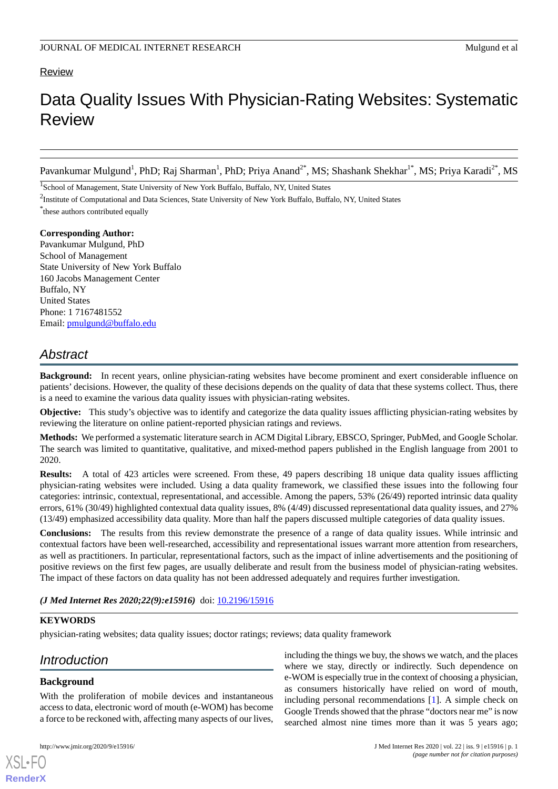## Review

# Data Quality Issues With Physician-Rating Websites: Systematic Review

Pavankumar Mulgund<sup>1</sup>, PhD; Raj Sharman<sup>1</sup>, PhD; Priya Anand<sup>2\*</sup>, MS; Shashank Shekhar<sup>1\*</sup>, MS; Priya Karadi<sup>2\*</sup>, MS

<sup>1</sup>School of Management, State University of New York Buffalo, Buffalo, NY, United States

<sup>2</sup>Institute of Computational and Data Sciences, State University of New York Buffalo, Buffalo, NY, United States

\* these authors contributed equally

**Corresponding Author:** Pavankumar Mulgund, PhD

School of Management State University of New York Buffalo 160 Jacobs Management Center Buffalo, NY United States Phone: 1 7167481552 Email: [pmulgund@buffalo.edu](mailto:pmulgund@buffalo.edu)

## *Abstract*

**Background:** In recent years, online physician-rating websites have become prominent and exert considerable influence on patients' decisions. However, the quality of these decisions depends on the quality of data that these systems collect. Thus, there is a need to examine the various data quality issues with physician-rating websites.

**Objective:** This study's objective was to identify and categorize the data quality issues afflicting physician-rating websites by reviewing the literature on online patient-reported physician ratings and reviews.

**Methods:** We performed a systematic literature search in ACM Digital Library, EBSCO, Springer, PubMed, and Google Scholar. The search was limited to quantitative, qualitative, and mixed-method papers published in the English language from 2001 to 2020.

**Results:** A total of 423 articles were screened. From these, 49 papers describing 18 unique data quality issues afflicting physician-rating websites were included. Using a data quality framework, we classified these issues into the following four categories: intrinsic, contextual, representational, and accessible. Among the papers, 53% (26/49) reported intrinsic data quality errors, 61% (30/49) highlighted contextual data quality issues, 8% (4/49) discussed representational data quality issues, and 27% (13/49) emphasized accessibility data quality. More than half the papers discussed multiple categories of data quality issues.

**Conclusions:** The results from this review demonstrate the presence of a range of data quality issues. While intrinsic and contextual factors have been well-researched, accessibility and representational issues warrant more attention from researchers, as well as practitioners. In particular, representational factors, such as the impact of inline advertisements and the positioning of positive reviews on the first few pages, are usually deliberate and result from the business model of physician-rating websites. The impact of these factors on data quality has not been addressed adequately and requires further investigation.

*(J Med Internet Res 2020;22(9):e15916)* doi: [10.2196/15916](http://dx.doi.org/10.2196/15916)

## **KEYWORDS**

physician-rating websites; data quality issues; doctor ratings; reviews; data quality framework

## *Introduction*

## **Background**

[XSL](http://www.w3.org/Style/XSL)•FO **[RenderX](http://www.renderx.com/)**

With the proliferation of mobile devices and instantaneous access to data, electronic word of mouth (e-WOM) has become a force to be reckoned with, affecting many aspects of our lives,

including the things we buy, the shows we watch, and the places where we stay, directly or indirectly. Such dependence on e-WOM is especially true in the context of choosing a physician, as consumers historically have relied on word of mouth, including personal recommendations [\[1](#page-7-0)]. A simple check on Google Trends showed that the phrase "doctors near me" is now searched almost nine times more than it was 5 years ago;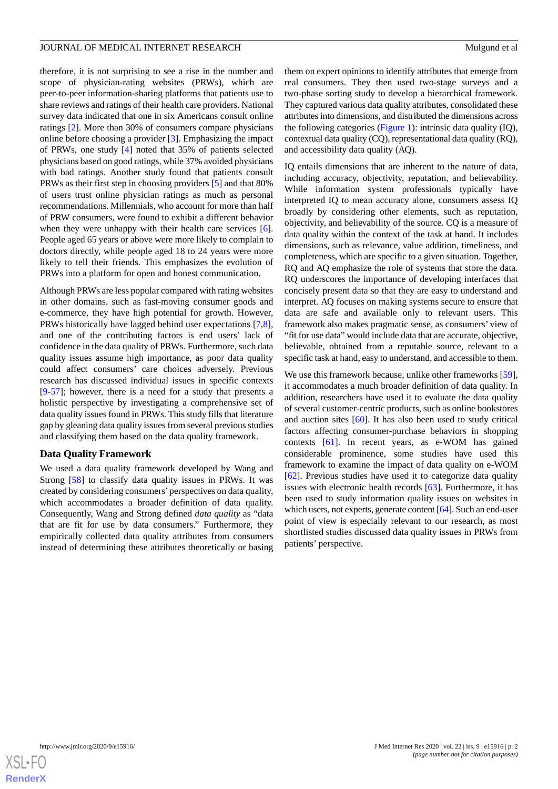therefore, it is not surprising to see a rise in the number and scope of physician-rating websites (PRWs), which are peer-to-peer information-sharing platforms that patients use to share reviews and ratings of their health care providers. National survey data indicated that one in six Americans consult online ratings [[2\]](#page-7-1). More than 30% of consumers compare physicians online before choosing a provider [\[3](#page-7-2)]. Emphasizing the impact of PRWs, one study [\[4](#page-7-3)] noted that 35% of patients selected physicians based on good ratings, while 37% avoided physicians with bad ratings. Another study found that patients consult PRWs as their first step in choosing providers [[5\]](#page-7-4) and that 80% of users trust online physician ratings as much as personal recommendations. Millennials, who account for more than half of PRW consumers, were found to exhibit a different behavior when they were unhappy with their health care services [[6\]](#page-7-5). People aged 65 years or above were more likely to complain to doctors directly, while people aged 18 to 24 years were more likely to tell their friends. This emphasizes the evolution of PRWs into a platform for open and honest communication.

Although PRWs are less popular compared with rating websites in other domains, such as fast-moving consumer goods and e-commerce, they have high potential for growth. However, PRWs historically have lagged behind user expectations [\[7](#page-7-6),[8\]](#page-7-7), and one of the contributing factors is end users' lack of confidence in the data quality of PRWs. Furthermore, such data quality issues assume high importance, as poor data quality could affect consumers' care choices adversely. Previous research has discussed individual issues in specific contexts [[9](#page-7-8)[-57](#page-9-0)]; however, there is a need for a study that presents a holistic perspective by investigating a comprehensive set of data quality issues found in PRWs. This study fills that literature gap by gleaning data quality issues from several previous studies and classifying them based on the data quality framework.

#### **Data Quality Framework**

We used a data quality framework developed by Wang and Strong [[58\]](#page-9-1) to classify data quality issues in PRWs. It was created by considering consumers'perspectives on data quality, which accommodates a broader definition of data quality. Consequently, Wang and Strong defined *data quality* as "data that are fit for use by data consumers." Furthermore, they empirically collected data quality attributes from consumers instead of determining these attributes theoretically or basing

them on expert opinions to identify attributes that emerge from real consumers. They then used two-stage surveys and a two-phase sorting study to develop a hierarchical framework. They captured various data quality attributes, consolidated these attributes into dimensions, and distributed the dimensions across the following categories ([Figure 1\)](#page-2-0): intrinsic data quality (IQ), contextual data quality (CQ), representational data quality (RQ), and accessibility data quality (AQ).

IQ entails dimensions that are inherent to the nature of data, including accuracy, objectivity, reputation, and believability. While information system professionals typically have interpreted IQ to mean accuracy alone, consumers assess IQ broadly by considering other elements, such as reputation, objectivity, and believability of the source. CQ is a measure of data quality within the context of the task at hand. It includes dimensions, such as relevance, value addition, timeliness, and completeness, which are specific to a given situation. Together, RQ and AQ emphasize the role of systems that store the data. RQ underscores the importance of developing interfaces that concisely present data so that they are easy to understand and interpret. AQ focuses on making systems secure to ensure that data are safe and available only to relevant users. This framework also makes pragmatic sense, as consumers' view of "fit for use data" would include data that are accurate, objective, believable, obtained from a reputable source, relevant to a specific task at hand, easy to understand, and accessible to them.

We use this framework because, unlike other frameworks [[59\]](#page-9-2), it accommodates a much broader definition of data quality. In addition, researchers have used it to evaluate the data quality of several customer-centric products, such as online bookstores and auction sites [\[60](#page-9-3)]. It has also been used to study critical factors affecting consumer-purchase behaviors in shopping contexts [[61\]](#page-9-4). In recent years, as e-WOM has gained considerable prominence, some studies have used this framework to examine the impact of data quality on e-WOM [[62\]](#page-9-5). Previous studies have used it to categorize data quality issues with electronic health records [[63\]](#page-10-0). Furthermore, it has been used to study information quality issues on websites in which users, not experts, generate content [\[64\]](#page-10-1). Such an end-user point of view is especially relevant to our research, as most shortlisted studies discussed data quality issues in PRWs from patients' perspective.

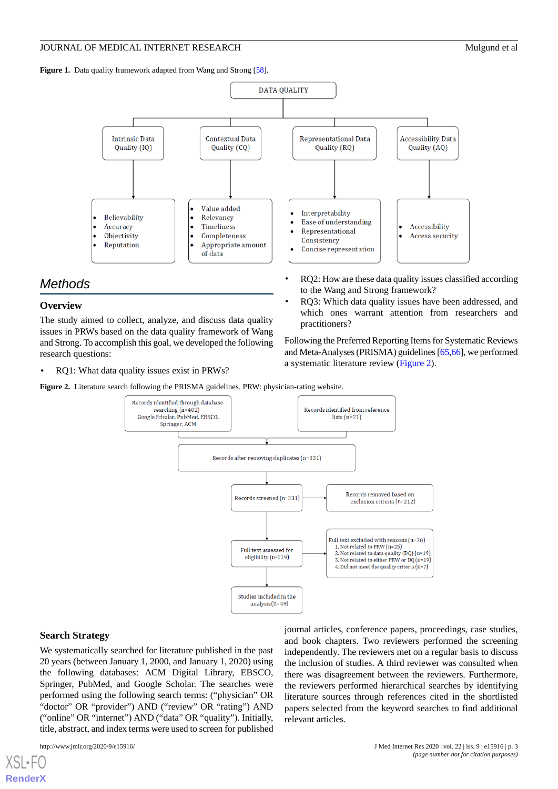<span id="page-2-0"></span>Figure 1. Data quality framework adapted from Wang and Strong [\[58\]](#page-9-1).



## *Methods*

#### **Overview**

The study aimed to collect, analyze, and discuss data quality issues in PRWs based on the data quality framework of Wang and Strong. To accomplish this goal, we developed the following research questions:

<span id="page-2-1"></span>• RQ1: What data quality issues exist in PRWs?

**Figure 2.** Literature search following the PRISMA guidelines. PRW: physician-rating website.



#### **Search Strategy**

We systematically searched for literature published in the past 20 years (between January 1, 2000, and January 1, 2020) using the following databases: ACM Digital Library, EBSCO, Springer, PubMed, and Google Scholar. The searches were performed using the following search terms: ("physician" OR "doctor" OR "provider") AND ("review" OR "rating") AND ("online" OR "internet") AND ("data" OR "quality"). Initially, title, abstract, and index terms were used to screen for published

[XSL](http://www.w3.org/Style/XSL)•FO **[RenderX](http://www.renderx.com/)**

journal articles, conference papers, proceedings, case studies, and book chapters. Two reviewers performed the screening independently. The reviewers met on a regular basis to discuss the inclusion of studies. A third reviewer was consulted when there was disagreement between the reviewers. Furthermore, the reviewers performed hierarchical searches by identifying literature sources through references cited in the shortlisted papers selected from the keyword searches to find additional relevant articles.

Following the Preferred Reporting Items for Systematic Reviews and Meta-Analyses (PRISMA) guidelines [[65](#page-10-2),[66\]](#page-10-3), we performed a systematic literature review [\(Figure 2](#page-2-1)).

RQ3: Which data quality issues have been addressed, and which ones warrant attention from researchers and

to the Wang and Strong framework?

practitioners?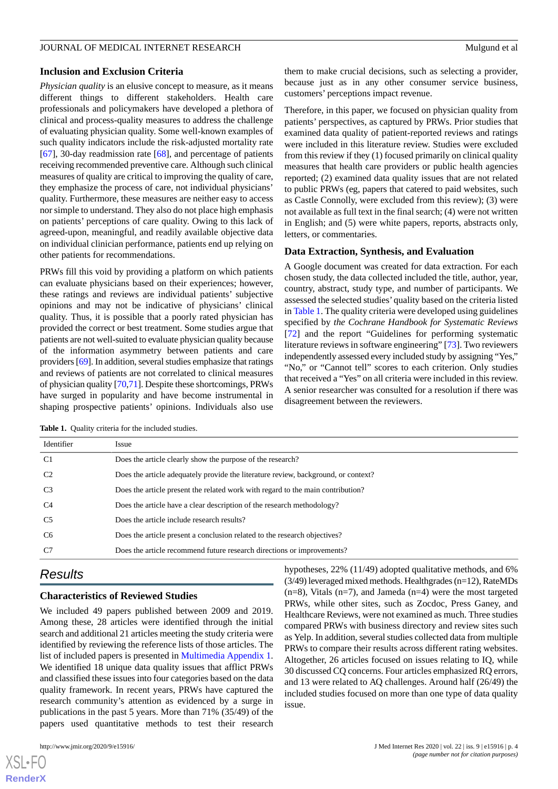#### **Inclusion and Exclusion Criteria**

*Physician quality* is an elusive concept to measure, as it means different things to different stakeholders. Health care professionals and policymakers have developed a plethora of clinical and process-quality measures to address the challenge of evaluating physician quality. Some well-known examples of such quality indicators include the risk-adjusted mortality rate [[67\]](#page-10-4), 30-day readmission rate  $[68]$  $[68]$ , and percentage of patients receiving recommended preventive care. Although such clinical measures of quality are critical to improving the quality of care, they emphasize the process of care, not individual physicians' quality. Furthermore, these measures are neither easy to access nor simple to understand. They also do not place high emphasis on patients' perceptions of care quality. Owing to this lack of agreed-upon, meaningful, and readily available objective data on individual clinician performance, patients end up relying on other patients for recommendations.

PRWs fill this void by providing a platform on which patients can evaluate physicians based on their experiences; however, these ratings and reviews are individual patients' subjective opinions and may not be indicative of physicians' clinical quality. Thus, it is possible that a poorly rated physician has provided the correct or best treatment. Some studies argue that patients are not well-suited to evaluate physician quality because of the information asymmetry between patients and care providers [\[69](#page-10-6)]. In addition, several studies emphasize that ratings and reviews of patients are not correlated to clinical measures of physician quality [\[70](#page-10-7)[,71](#page-10-8)]. Despite these shortcomings, PRWs have surged in popularity and have become instrumental in shaping prospective patients' opinions. Individuals also use

them to make crucial decisions, such as selecting a provider, because just as in any other consumer service business, customers' perceptions impact revenue.

Therefore, in this paper, we focused on physician quality from patients' perspectives, as captured by PRWs. Prior studies that examined data quality of patient-reported reviews and ratings were included in this literature review. Studies were excluded from this review if they (1) focused primarily on clinical quality measures that health care providers or public health agencies reported; (2) examined data quality issues that are not related to public PRWs (eg, papers that catered to paid websites, such as Castle Connolly, were excluded from this review); (3) were not available as full text in the final search; (4) were not written in English; and (5) were white papers, reports, abstracts only, letters, or commentaries.

#### **Data Extraction, Synthesis, and Evaluation**

A Google document was created for data extraction. For each chosen study, the data collected included the title, author, year, country, abstract, study type, and number of participants. We assessed the selected studies'quality based on the criteria listed in [Table 1](#page-3-0). The quality criteria were developed using guidelines specified by *the Cochrane Handbook for Systematic Reviews* [[72\]](#page-10-9) and the report "Guidelines for performing systematic literature reviews in software engineering" [\[73](#page-10-10)]. Two reviewers independently assessed every included study by assigning "Yes," "No," or "Cannot tell" scores to each criterion. Only studies that received a "Yes" on all criteria were included in this review. A senior researcher was consulted for a resolution if there was disagreement between the reviewers.

<span id="page-3-0"></span>Table 1. Quality criteria for the included studies.

| Identifier     | Issue                                                                              |
|----------------|------------------------------------------------------------------------------------|
| C <sub>1</sub> | Does the article clearly show the purpose of the research?                         |
| C <sub>2</sub> | Does the article adequately provide the literature review, background, or context? |
| C <sub>3</sub> | Does the article present the related work with regard to the main contribution?    |
| C <sub>4</sub> | Does the article have a clear description of the research methodology?             |
| C <sub>5</sub> | Does the article include research results?                                         |
| C <sub>6</sub> | Does the article present a conclusion related to the research objectives?          |
| C <sub>7</sub> | Does the article recommend future research directions or improvements?             |

## *Results*

#### **Characteristics of Reviewed Studies**

We included 49 papers published between 2009 and 2019. Among these, 28 articles were identified through the initial search and additional 21 articles meeting the study criteria were identified by reviewing the reference lists of those articles. The list of included papers is presented in [Multimedia Appendix 1](#page-7-9). We identified 18 unique data quality issues that afflict PRWs and classified these issues into four categories based on the data quality framework. In recent years, PRWs have captured the research community's attention as evidenced by a surge in publications in the past 5 years. More than 71% (35/49) of the papers used quantitative methods to test their research

hypotheses, 22% (11/49) adopted qualitative methods, and 6% (3/49) leveraged mixed methods. Healthgrades (n=12), RateMDs  $(n=8)$ , Vitals  $(n=7)$ , and Jameda  $(n=4)$  were the most targeted PRWs, while other sites, such as Zocdoc, Press Ganey, and Healthcare Reviews, were not examined as much. Three studies compared PRWs with business directory and review sites such as Yelp. In addition, several studies collected data from multiple PRWs to compare their results across different rating websites. Altogether, 26 articles focused on issues relating to IQ, while 30 discussed CQ concerns. Four articles emphasized RQ errors, and 13 were related to AQ challenges. Around half (26/49) the included studies focused on more than one type of data quality issue.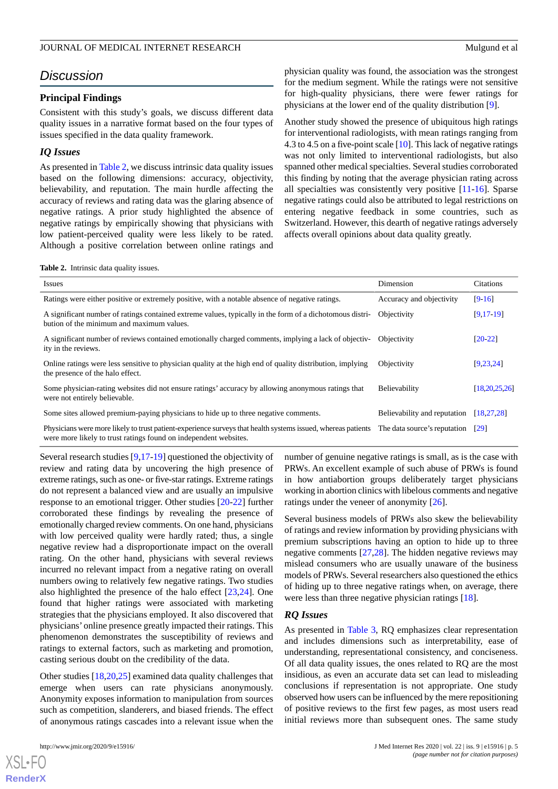## *Discussion*

#### **Principal Findings**

Consistent with this study's goals, we discuss different data quality issues in a narrative format based on the four types of issues specified in the data quality framework.

#### *IQ Issues*

As presented in [Table 2](#page-4-0), we discuss intrinsic data quality issues based on the following dimensions: accuracy, objectivity, believability, and reputation. The main hurdle affecting the accuracy of reviews and rating data was the glaring absence of negative ratings. A prior study highlighted the absence of negative ratings by empirically showing that physicians with low patient-perceived quality were less likely to be rated. Although a positive correlation between online ratings and

physician quality was found, the association was the strongest for the medium segment. While the ratings were not sensitive for high-quality physicians, there were fewer ratings for physicians at the lower end of the quality distribution [\[9](#page-7-8)].

Another study showed the presence of ubiquitous high ratings for interventional radiologists, with mean ratings ranging from 4.3 to 4.5 on a five-point scale [\[10](#page-7-10)]. This lack of negative ratings was not only limited to interventional radiologists, but also spanned other medical specialties. Several studies corroborated this finding by noting that the average physician rating across all specialties was consistently very positive [\[11](#page-7-11)[-16](#page-7-12)]. Sparse negative ratings could also be attributed to legal restrictions on entering negative feedback in some countries, such as Switzerland. However, this dearth of negative ratings adversely affects overall opinions about data quality greatly.

<span id="page-4-0"></span>**Table 2.** Intrinsic data quality issues.

| <i>Issues</i>                                                                                                                                                                    | Dimension                    | Citations          |
|----------------------------------------------------------------------------------------------------------------------------------------------------------------------------------|------------------------------|--------------------|
| Ratings were either positive or extremely positive, with a notable absence of negative ratings.                                                                                  | Accuracy and objectivity     | $[9-16]$           |
| A significant number of ratings contained extreme values, typically in the form of a dichotomous distri-<br>bution of the minimum and maximum values.                            | Objectivity                  | $[9, 17 - 19]$     |
| A significant number of reviews contained emotionally charged comments, implying a lack of objectiv-<br>ity in the reviews.                                                      | Objectivity                  | $[20-22]$          |
| Online ratings were less sensitive to physician quality at the high end of quality distribution, implying<br>the presence of the halo effect.                                    | Objectivity                  | [9, 23, 24]        |
| Some physician-rating websites did not ensure ratings' accuracy by allowing anonymous ratings that<br>were not entirely believable.                                              | Believability                | [18, 20, 25, 26]   |
| Some sites allowed premium-paying physicians to hide up to three negative comments.                                                                                              | Believability and reputation | [18, 27, 28]       |
| Physicians were more likely to trust patient-experience surveys that health systems issued, whereas patients<br>were more likely to trust ratings found on independent websites. | The data source's reputation | $\lceil 29 \rceil$ |

Several research studies [[9](#page-7-8)[,17](#page-7-13)-[19\]](#page-8-0) questioned the objectivity of review and rating data by uncovering the high presence of extreme ratings, such as one- or five-star ratings. Extreme ratings do not represent a balanced view and are usually an impulsive response to an emotional trigger. Other studies [\[20](#page-8-1)[-22](#page-8-2)] further corroborated these findings by revealing the presence of emotionally charged review comments. On one hand, physicians with low perceived quality were hardly rated; thus, a single negative review had a disproportionate impact on the overall rating. On the other hand, physicians with several reviews incurred no relevant impact from a negative rating on overall numbers owing to relatively few negative ratings. Two studies also highlighted the presence of the halo effect [\[23](#page-8-3),[24\]](#page-8-4). One found that higher ratings were associated with marketing strategies that the physicians employed. It also discovered that physicians' online presence greatly impacted their ratings. This phenomenon demonstrates the susceptibility of reviews and ratings to external factors, such as marketing and promotion, casting serious doubt on the credibility of the data.

Other studies [\[18](#page-8-5),[20,](#page-8-1)[25](#page-8-6)] examined data quality challenges that emerge when users can rate physicians anonymously. Anonymity exposes information to manipulation from sources such as competition, slanderers, and biased friends. The effect of anonymous ratings cascades into a relevant issue when the

[XSL](http://www.w3.org/Style/XSL)•FO **[RenderX](http://www.renderx.com/)**

number of genuine negative ratings is small, as is the case with PRWs. An excellent example of such abuse of PRWs is found in how antiabortion groups deliberately target physicians working in abortion clinics with libelous comments and negative ratings under the veneer of anonymity [[26\]](#page-8-7).

Several business models of PRWs also skew the believability of ratings and review information by providing physicians with premium subscriptions having an option to hide up to three negative comments [[27](#page-8-8)[,28](#page-8-9)]. The hidden negative reviews may mislead consumers who are usually unaware of the business models of PRWs. Several researchers also questioned the ethics of hiding up to three negative ratings when, on average, there were less than three negative physician ratings [[18\]](#page-8-5).

#### *RQ Issues*

As presented in [Table 3](#page-5-0), RQ emphasizes clear representation and includes dimensions such as interpretability, ease of understanding, representational consistency, and conciseness. Of all data quality issues, the ones related to RQ are the most insidious, as even an accurate data set can lead to misleading conclusions if representation is not appropriate. One study observed how users can be influenced by the mere repositioning of positive reviews to the first few pages, as most users read initial reviews more than subsequent ones. The same study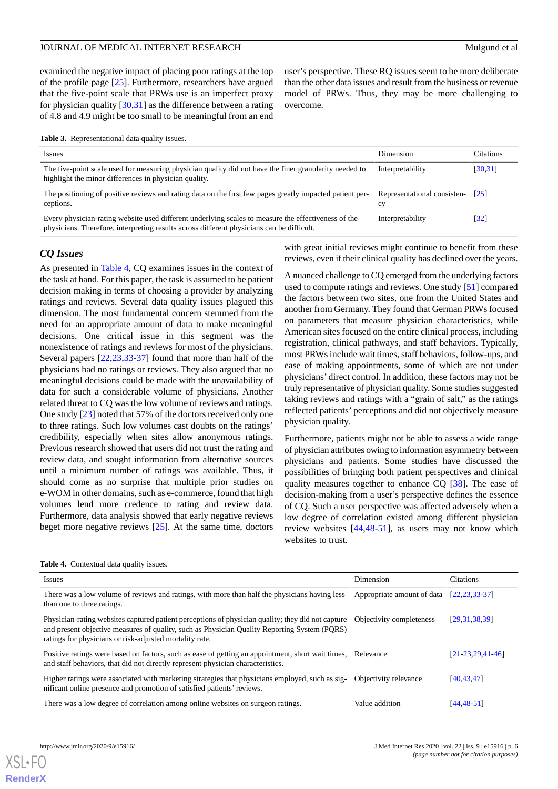examined the negative impact of placing poor ratings at the top of the profile page [\[25](#page-8-6)]. Furthermore, researchers have argued that the five-point scale that PRWs use is an imperfect proxy for physician quality [\[30](#page-8-11),[31\]](#page-8-12) as the difference between a rating of 4.8 and 4.9 might be too small to be meaningful from an end

<span id="page-5-0"></span>

|  | <b>Table 3.</b> Representational data quality issues. |  |  |  |
|--|-------------------------------------------------------|--|--|--|
|--|-------------------------------------------------------|--|--|--|

| <b>Issues</b>                                                                                                                                                                                    | Dimension                         | Citations                    |
|--------------------------------------------------------------------------------------------------------------------------------------------------------------------------------------------------|-----------------------------------|------------------------------|
| The five-point scale used for measuring physician quality did not have the finer granularity needed to<br>highlight the minor differences in physician quality.                                  | Interpretability                  | [30,31]                      |
| The positioning of positive reviews and rating data on the first few pages greatly impacted patient per-<br>ceptions.                                                                            | Representational consisten-<br>cy | $\lceil 25 \rceil$           |
| Every physician-rating website used different underlying scales to measure the effectiveness of the<br>physicians. Therefore, interpreting results across different physicians can be difficult. | Interpretability                  | $\left\lceil 32\right\rceil$ |

overcome.

#### *CQ Issues*

As presented in [Table 4](#page-5-1), CQ examines issues in the context of the task at hand. For this paper, the task is assumed to be patient decision making in terms of choosing a provider by analyzing ratings and reviews. Several data quality issues plagued this dimension. The most fundamental concern stemmed from the need for an appropriate amount of data to make meaningful decisions. One critical issue in this segment was the nonexistence of ratings and reviews for most of the physicians. Several papers [\[22](#page-8-2),[23](#page-8-3)[,33](#page-8-14)-[37\]](#page-8-15) found that more than half of the physicians had no ratings or reviews. They also argued that no meaningful decisions could be made with the unavailability of data for such a considerable volume of physicians. Another related threat to CQ was the low volume of reviews and ratings. One study [\[23](#page-8-3)] noted that 57% of the doctors received only one to three ratings. Such low volumes cast doubts on the ratings' credibility, especially when sites allow anonymous ratings. Previous research showed that users did not trust the rating and review data, and sought information from alternative sources until a minimum number of ratings was available. Thus, it should come as no surprise that multiple prior studies on e-WOM in other domains, such as e-commerce, found that high volumes lend more credence to rating and review data. Furthermore, data analysis showed that early negative reviews beget more negative reviews [[25\]](#page-8-6). At the same time, doctors

with great initial reviews might continue to benefit from these reviews, even if their clinical quality has declined over the years.

user's perspective. These RQ issues seem to be more deliberate than the other data issues and result from the business or revenue model of PRWs. Thus, they may be more challenging to

A nuanced challenge to CQ emerged from the underlying factors used to compute ratings and reviews. One study [[51\]](#page-9-6) compared the factors between two sites, one from the United States and another from Germany. They found that German PRWs focused on parameters that measure physician characteristics, while American sites focused on the entire clinical process, including registration, clinical pathways, and staff behaviors. Typically, most PRWs include wait times, staff behaviors, follow-ups, and ease of making appointments, some of which are not under physicians' direct control. In addition, these factors may not be truly representative of physician quality. Some studies suggested taking reviews and ratings with a "grain of salt," as the ratings reflected patients' perceptions and did not objectively measure physician quality.

Furthermore, patients might not be able to assess a wide range of physician attributes owing to information asymmetry between physicians and patients. Some studies have discussed the possibilities of bringing both patient perspectives and clinical quality measures together to enhance CQ [[38\]](#page-8-16). The ease of decision-making from a user's perspective defines the essence of CQ. Such a user perspective was affected adversely when a low degree of correlation existed among different physician review websites [[44,](#page-9-7)[48](#page-9-8)[-51](#page-9-6)], as users may not know which websites to trust.

| <b>Issues</b>                                                                                                                                                                                                                                                | Dimension                  | <b>Citations</b>     |
|--------------------------------------------------------------------------------------------------------------------------------------------------------------------------------------------------------------------------------------------------------------|----------------------------|----------------------|
| There was a low volume of reviews and ratings, with more than half the physicians having less<br>than one to three ratings.                                                                                                                                  | Appropriate amount of data | [22, 23, 33, 37]     |
| Physician-rating websites captured patient perceptions of physician quality; they did not capture<br>and present objective measures of quality, such as Physician Quality Reporting System (PQRS)<br>ratings for physicians or risk-adjusted mortality rate. | Objectivity completeness   | [29.31.38.39]        |
| Positive ratings were based on factors, such as ease of getting an appointment, short wait times, Relevance<br>and staff behaviors, that did not directly represent physician characteristics.                                                               |                            | $[21-23, 29, 41-46]$ |
| Higher ratings were associated with marketing strategies that physicians employed, such as sig-<br>nificant online presence and promotion of satisfied patients' reviews.                                                                                    | Objectivity relevance      | [40, 43, 47]         |
| There was a low degree of correlation among online websites on surgeon ratings.                                                                                                                                                                              | Value addition             | [44, 48, 51]         |

<span id="page-5-1"></span>**Table 4.** Contextual data quality issues.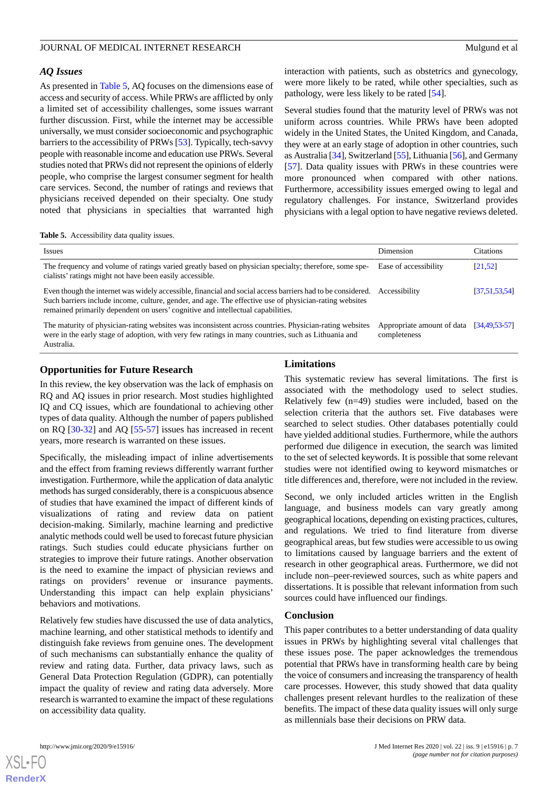#### *AQ Issues*

As presented in [Table 5,](#page-6-0) AQ focuses on the dimensions ease of access and security of access. While PRWs are afflicted by only a limited set of accessibility challenges, some issues warrant further discussion. First, while the internet may be accessible universally, we must consider socioeconomic and psychographic barriers to the accessibility of PRWs [\[53](#page-9-13)]. Typically, tech-savvy people with reasonable income and education use PRWs. Several studies noted that PRWs did not represent the opinions of elderly people, who comprise the largest consumer segment for health care services. Second, the number of ratings and reviews that physicians received depended on their specialty. One study noted that physicians in specialties that warranted high

interaction with patients, such as obstetrics and gynecology, were more likely to be rated, while other specialties, such as pathology, were less likely to be rated [[54\]](#page-9-14).

Several studies found that the maturity level of PRWs was not uniform across countries. While PRWs have been adopted widely in the United States, the United Kingdom, and Canada, they were at an early stage of adoption in other countries, such as Australia [\[34](#page-8-20)], Switzerland [\[55](#page-9-15)], Lithuania [\[56\]](#page-9-16), and Germany [[57\]](#page-9-0). Data quality issues with PRWs in these countries were more pronounced when compared with other nations. Furthermore, accessibility issues emerged owing to legal and regulatory challenges. For instance, Switzerland provides physicians with a legal option to have negative reviews deleted.

<span id="page-6-0"></span>**Table 5.** Accessibility data quality issues.

| <i>Issues</i>                                                                                                                                                                                                                                                                                                         | Dimension                                  | Citations        |
|-----------------------------------------------------------------------------------------------------------------------------------------------------------------------------------------------------------------------------------------------------------------------------------------------------------------------|--------------------------------------------|------------------|
| The frequency and volume of ratings varied greatly based on physician specialty; therefore, some spe-<br>cialists' ratings might not have been easily accessible.                                                                                                                                                     | Ease of accessibility                      | [21.52]          |
| Even though the internet was widely accessible, financial and social access barriers had to be considered. Accessibility<br>Such barriers include income, culture, gender, and age. The effective use of physician-rating websites<br>remained primarily dependent on users' cognitive and intellectual capabilities. |                                            | [37, 51, 53, 54] |
| The maturity of physician-rating websites was inconsistent across countries. Physician-rating websites<br>were in the early stage of adoption, with very few ratings in many countries, such as Lithuania and<br>Australia.                                                                                           | Appropriate amount of data<br>completeness | [34.49.53.57]    |

#### **Opportunities for Future Research**

In this review, the key observation was the lack of emphasis on RQ and AQ issues in prior research. Most studies highlighted IQ and CQ issues, which are foundational to achieving other types of data quality. Although the number of papers published on RQ [[30-](#page-8-11)[32](#page-8-13)] and AQ [[55](#page-9-15)[-57](#page-9-0)] issues has increased in recent years, more research is warranted on these issues.

Specifically, the misleading impact of inline advertisements and the effect from framing reviews differently warrant further investigation. Furthermore, while the application of data analytic methods has surged considerably, there is a conspicuous absence of studies that have examined the impact of different kinds of visualizations of rating and review data on patient decision-making. Similarly, machine learning and predictive analytic methods could well be used to forecast future physician ratings. Such studies could educate physicians further on strategies to improve their future ratings. Another observation is the need to examine the impact of physician reviews and ratings on providers' revenue or insurance payments. Understanding this impact can help explain physicians' behaviors and motivations.

Relatively few studies have discussed the use of data analytics, machine learning, and other statistical methods to identify and distinguish fake reviews from genuine ones. The development of such mechanisms can substantially enhance the quality of review and rating data. Further, data privacy laws, such as General Data Protection Regulation (GDPR), can potentially impact the quality of review and rating data adversely. More research is warranted to examine the impact of these regulations on accessibility data quality.

#### **Limitations**

This systematic review has several limitations. The first is associated with the methodology used to select studies. Relatively few (n=49) studies were included, based on the selection criteria that the authors set. Five databases were searched to select studies. Other databases potentially could have yielded additional studies. Furthermore, while the authors performed due diligence in execution, the search was limited to the set of selected keywords. It is possible that some relevant studies were not identified owing to keyword mismatches or title differences and, therefore, were not included in the review.

Second, we only included articles written in the English language, and business models can vary greatly among geographical locations, depending on existing practices, cultures, and regulations. We tried to find literature from diverse geographical areas, but few studies were accessible to us owing to limitations caused by language barriers and the extent of research in other geographical areas. Furthermore, we did not include non–peer-reviewed sources, such as white papers and dissertations. It is possible that relevant information from such sources could have influenced our findings.

#### **Conclusion**

This paper contributes to a better understanding of data quality issues in PRWs by highlighting several vital challenges that these issues pose. The paper acknowledges the tremendous potential that PRWs have in transforming health care by being the voice of consumers and increasing the transparency of health care processes. However, this study showed that data quality challenges present relevant hurdles to the realization of these benefits. The impact of these data quality issues will only surge as millennials base their decisions on PRW data.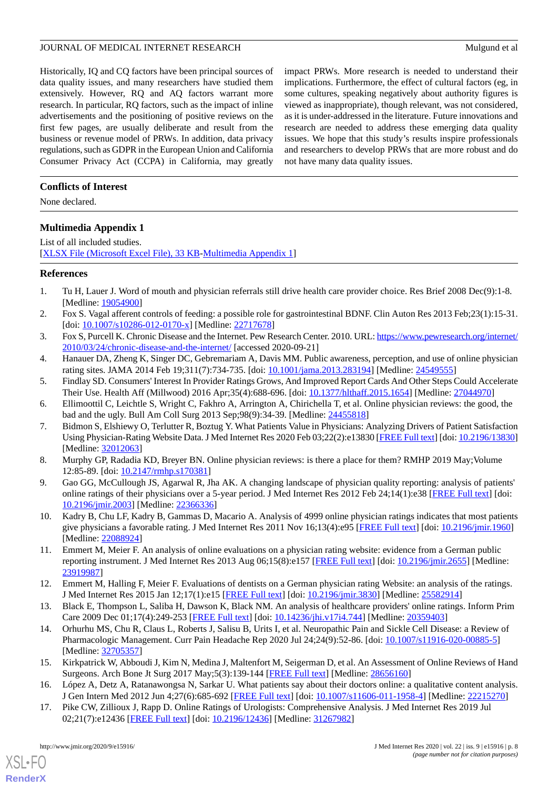Historically, IQ and CQ factors have been principal sources of data quality issues, and many researchers have studied them extensively. However, RQ and AQ factors warrant more research. In particular, RQ factors, such as the impact of inline advertisements and the positioning of positive reviews on the first few pages, are usually deliberate and result from the business or revenue model of PRWs. In addition, data privacy regulations, such as GDPR in the European Union and California Consumer Privacy Act (CCPA) in California, may greatly

impact PRWs. More research is needed to understand their implications. Furthermore, the effect of cultural factors (eg, in some cultures, speaking negatively about authority figures is viewed as inappropriate), though relevant, was not considered, as it is under-addressed in the literature. Future innovations and research are needed to address these emerging data quality issues. We hope that this study's results inspire professionals and researchers to develop PRWs that are more robust and do not have many data quality issues.

#### **Conflicts of Interest**

<span id="page-7-9"></span>None declared.

#### **Multimedia Appendix 1**

List of all included studies. [[XLSX File \(Microsoft Excel File\), 33 KB](https://jmir.org/api/download?alt_name=jmir_v22i9e15916_app1.xlsx&filename=644c7a1765684e15c6ff0ab7be487fef.xlsx)-[Multimedia Appendix 1\]](https://jmir.org/api/download?alt_name=jmir_v22i9e15916_app1.xlsx&filename=644c7a1765684e15c6ff0ab7be487fef.xlsx)

#### <span id="page-7-1"></span><span id="page-7-0"></span>**References**

- 1. Tu H, Lauer J. Word of mouth and physician referrals still drive health care provider choice. Res Brief 2008 Dec(9):1-8. [Medline: [19054900](http://www.ncbi.nlm.nih.gov/entrez/query.fcgi?cmd=Retrieve&db=PubMed&list_uids=19054900&dopt=Abstract)]
- <span id="page-7-3"></span><span id="page-7-2"></span>2. Fox S. Vagal afferent controls of feeding: a possible role for gastrointestinal BDNF. Clin Auton Res 2013 Feb;23(1):15-31. [doi: [10.1007/s10286-012-0170-x](http://dx.doi.org/10.1007/s10286-012-0170-x)] [Medline: [22717678\]](http://www.ncbi.nlm.nih.gov/entrez/query.fcgi?cmd=Retrieve&db=PubMed&list_uids=22717678&dopt=Abstract)
- <span id="page-7-4"></span>3. Fox S, Purcell K. Chronic Disease and the Internet. Pew Research Center. 2010. URL: [https://www.pewresearch.org/internet/](https://www.pewresearch.org/internet/2010/03/24/chronic-disease-and-the-internet/) [2010/03/24/chronic-disease-and-the-internet/](https://www.pewresearch.org/internet/2010/03/24/chronic-disease-and-the-internet/) [accessed 2020-09-21]
- <span id="page-7-5"></span>4. Hanauer DA, Zheng K, Singer DC, Gebremariam A, Davis MM. Public awareness, perception, and use of online physician rating sites. JAMA 2014 Feb 19;311(7):734-735. [doi: [10.1001/jama.2013.283194\]](http://dx.doi.org/10.1001/jama.2013.283194) [Medline: [24549555\]](http://www.ncbi.nlm.nih.gov/entrez/query.fcgi?cmd=Retrieve&db=PubMed&list_uids=24549555&dopt=Abstract)
- <span id="page-7-6"></span>5. Findlay SD. Consumers' Interest In Provider Ratings Grows, And Improved Report Cards And Other Steps Could Accelerate Their Use. Health Aff (Millwood) 2016 Apr;35(4):688-696. [doi: [10.1377/hlthaff.2015.1654\]](http://dx.doi.org/10.1377/hlthaff.2015.1654) [Medline: [27044970](http://www.ncbi.nlm.nih.gov/entrez/query.fcgi?cmd=Retrieve&db=PubMed&list_uids=27044970&dopt=Abstract)]
- <span id="page-7-7"></span>6. Ellimoottil C, Leichtle S, Wright C, Fakhro A, Arrington A, Chirichella T, et al. Online physician reviews: the good, the bad and the ugly. Bull Am Coll Surg 2013 Sep;98(9):34-39. [Medline: [24455818](http://www.ncbi.nlm.nih.gov/entrez/query.fcgi?cmd=Retrieve&db=PubMed&list_uids=24455818&dopt=Abstract)]
- <span id="page-7-8"></span>7. Bidmon S, Elshiewy O, Terlutter R, Boztug Y. What Patients Value in Physicians: Analyzing Drivers of Patient Satisfaction Using Physician-Rating Website Data. J Med Internet Res 2020 Feb 03;22(2):e13830 [[FREE Full text\]](https://www.jmir.org/2020/2/e13830/) [doi: [10.2196/13830\]](http://dx.doi.org/10.2196/13830) [Medline: [32012063](http://www.ncbi.nlm.nih.gov/entrez/query.fcgi?cmd=Retrieve&db=PubMed&list_uids=32012063&dopt=Abstract)]
- <span id="page-7-10"></span>8. Murphy GP, Radadia KD, Breyer BN. Online physician reviews: is there a place for them? RMHP 2019 May; Volume 12:85-89. [doi: [10.2147/rmhp.s170381\]](http://dx.doi.org/10.2147/rmhp.s170381)
- <span id="page-7-11"></span>9. Gao GG, McCullough JS, Agarwal R, Jha AK. A changing landscape of physician quality reporting: analysis of patients' online ratings of their physicians over a 5-year period. J Med Internet Res 2012 Feb 24;14(1):e38 [\[FREE Full text\]](https://www.jmir.org/2012/1/e38/) [doi: [10.2196/jmir.2003](http://dx.doi.org/10.2196/jmir.2003)] [Medline: [22366336](http://www.ncbi.nlm.nih.gov/entrez/query.fcgi?cmd=Retrieve&db=PubMed&list_uids=22366336&dopt=Abstract)]
- 10. Kadry B, Chu LF, Kadry B, Gammas D, Macario A. Analysis of 4999 online physician ratings indicates that most patients give physicians a favorable rating. J Med Internet Res 2011 Nov 16;13(4):e95 [\[FREE Full text\]](https://www.jmir.org/2011/4/e95/) [doi: [10.2196/jmir.1960\]](http://dx.doi.org/10.2196/jmir.1960) [Medline: [22088924](http://www.ncbi.nlm.nih.gov/entrez/query.fcgi?cmd=Retrieve&db=PubMed&list_uids=22088924&dopt=Abstract)]
- 11. Emmert M, Meier F. An analysis of online evaluations on a physician rating website: evidence from a German public reporting instrument. J Med Internet Res 2013 Aug 06;15(8):e157 [\[FREE Full text\]](https://www.jmir.org/2013/8/e157/) [doi: [10.2196/jmir.2655](http://dx.doi.org/10.2196/jmir.2655)] [Medline: [23919987](http://www.ncbi.nlm.nih.gov/entrez/query.fcgi?cmd=Retrieve&db=PubMed&list_uids=23919987&dopt=Abstract)]
- 12. Emmert M, Halling F, Meier F. Evaluations of dentists on a German physician rating Website: an analysis of the ratings. J Med Internet Res 2015 Jan 12;17(1):e15 [[FREE Full text](https://www.jmir.org/2015/1/e15/)] [doi: [10.2196/jmir.3830](http://dx.doi.org/10.2196/jmir.3830)] [Medline: [25582914\]](http://www.ncbi.nlm.nih.gov/entrez/query.fcgi?cmd=Retrieve&db=PubMed&list_uids=25582914&dopt=Abstract)
- <span id="page-7-12"></span>13. Black E, Thompson L, Saliba H, Dawson K, Black NM. An analysis of healthcare providers' online ratings. Inform Prim Care 2009 Dec 01;17(4):249-253 [\[FREE Full text\]](http://hijournal.bcs.org/index.php/jhi/article/view/744) [doi: [10.14236/jhi.v17i4.744\]](http://dx.doi.org/10.14236/jhi.v17i4.744) [Medline: [20359403](http://www.ncbi.nlm.nih.gov/entrez/query.fcgi?cmd=Retrieve&db=PubMed&list_uids=20359403&dopt=Abstract)]
- <span id="page-7-13"></span>14. Orhurhu MS, Chu R, Claus L, Roberts J, Salisu B, Urits I, et al. Neuropathic Pain and Sickle Cell Disease: a Review of Pharmacologic Management. Curr Pain Headache Rep 2020 Jul 24;24(9):52-86. [doi: [10.1007/s11916-020-00885-5](http://dx.doi.org/10.1007/s11916-020-00885-5)] [Medline: [32705357](http://www.ncbi.nlm.nih.gov/entrez/query.fcgi?cmd=Retrieve&db=PubMed&list_uids=32705357&dopt=Abstract)]
- 15. Kirkpatrick W, Abboudi J, Kim N, Medina J, Maltenfort M, Seigerman D, et al. An Assessment of Online Reviews of Hand Surgeons. Arch Bone Jt Surg 2017 May;5(3):139-144 [\[FREE Full text\]](http://europepmc.org/abstract/MED/28656160) [Medline: [28656160](http://www.ncbi.nlm.nih.gov/entrez/query.fcgi?cmd=Retrieve&db=PubMed&list_uids=28656160&dopt=Abstract)]
- 16. López A, Detz A, Ratanawongsa N, Sarkar U. What patients say about their doctors online: a qualitative content analysis. J Gen Intern Med 2012 Jun 4;27(6):685-692 [[FREE Full text\]](http://europepmc.org/abstract/MED/22215270) [doi: [10.1007/s11606-011-1958-4](http://dx.doi.org/10.1007/s11606-011-1958-4)] [Medline: [22215270](http://www.ncbi.nlm.nih.gov/entrez/query.fcgi?cmd=Retrieve&db=PubMed&list_uids=22215270&dopt=Abstract)]
- 17. Pike CW, Zillioux J, Rapp D. Online Ratings of Urologists: Comprehensive Analysis. J Med Internet Res 2019 Jul 02;21(7):e12436 [\[FREE Full text](https://www.jmir.org/2019/7/e12436/)] [doi: [10.2196/12436\]](http://dx.doi.org/10.2196/12436) [Medline: [31267982\]](http://www.ncbi.nlm.nih.gov/entrez/query.fcgi?cmd=Retrieve&db=PubMed&list_uids=31267982&dopt=Abstract)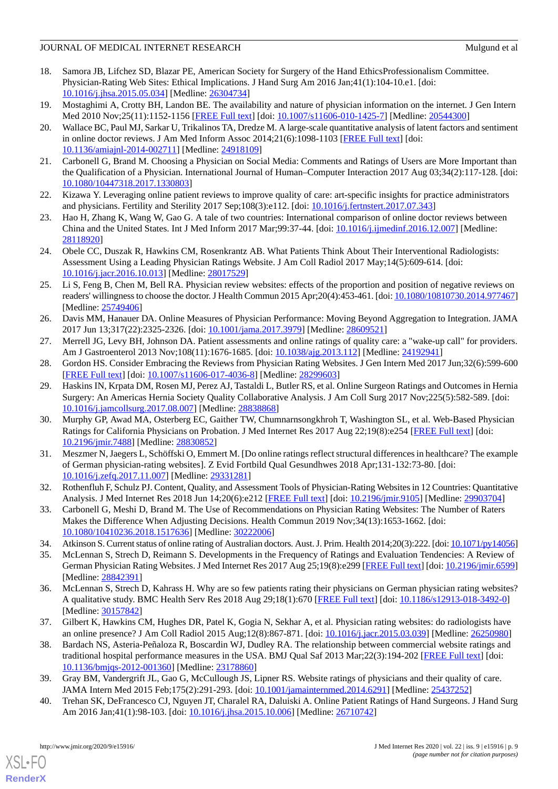#### JOURNAL OF MEDICAL INTERNET RESEARCH Mulgund et al.

- <span id="page-8-5"></span>18. Samora JB, Lifchez SD, Blazar PE, American Society for Surgery of the Hand EthicsProfessionalism Committee. Physician-Rating Web Sites: Ethical Implications. J Hand Surg Am 2016 Jan;41(1):104-10.e1. [doi: [10.1016/j.jhsa.2015.05.034\]](http://dx.doi.org/10.1016/j.jhsa.2015.05.034) [Medline: [26304734\]](http://www.ncbi.nlm.nih.gov/entrez/query.fcgi?cmd=Retrieve&db=PubMed&list_uids=26304734&dopt=Abstract)
- <span id="page-8-1"></span><span id="page-8-0"></span>19. Mostaghimi A, Crotty BH, Landon BE. The availability and nature of physician information on the internet. J Gen Intern Med 2010 Nov;25(11):1152-1156 [\[FREE Full text\]](http://europepmc.org/abstract/MED/20544300) [doi: [10.1007/s11606-010-1425-7](http://dx.doi.org/10.1007/s11606-010-1425-7)] [Medline: [20544300\]](http://www.ncbi.nlm.nih.gov/entrez/query.fcgi?cmd=Retrieve&db=PubMed&list_uids=20544300&dopt=Abstract)
- 20. Wallace BC, Paul MJ, Sarkar U, Trikalinos TA, Dredze M. A large-scale quantitative analysis of latent factors and sentiment in online doctor reviews. J Am Med Inform Assoc 2014;21(6):1098-1103 [\[FREE Full text\]](http://europepmc.org/abstract/MED/24918109) [doi: [10.1136/amiajnl-2014-002711](http://dx.doi.org/10.1136/amiajnl-2014-002711)] [Medline: [24918109](http://www.ncbi.nlm.nih.gov/entrez/query.fcgi?cmd=Retrieve&db=PubMed&list_uids=24918109&dopt=Abstract)]
- <span id="page-8-18"></span><span id="page-8-2"></span>21. Carbonell G, Brand M. Choosing a Physician on Social Media: Comments and Ratings of Users are More Important than the Qualification of a Physician. International Journal of Human–Computer Interaction 2017 Aug 03;34(2):117-128. [doi: [10.1080/10447318.2017.1330803\]](http://dx.doi.org/10.1080/10447318.2017.1330803)
- <span id="page-8-3"></span>22. Kizawa Y. Leveraging online patient reviews to improve quality of care: art-specific insights for practice administrators and physicians. Fertility and Sterility 2017 Sep;108(3):e112. [doi: [10.1016/j.fertnstert.2017.07.343\]](http://dx.doi.org/10.1016/j.fertnstert.2017.07.343)
- <span id="page-8-4"></span>23. Hao H, Zhang K, Wang W, Gao G. A tale of two countries: International comparison of online doctor reviews between China and the United States. Int J Med Inform 2017 Mar;99:37-44. [doi: [10.1016/j.ijmedinf.2016.12.007\]](http://dx.doi.org/10.1016/j.ijmedinf.2016.12.007) [Medline: [28118920](http://www.ncbi.nlm.nih.gov/entrez/query.fcgi?cmd=Retrieve&db=PubMed&list_uids=28118920&dopt=Abstract)]
- <span id="page-8-6"></span>24. Obele CC, Duszak R, Hawkins CM, Rosenkrantz AB. What Patients Think About Their Interventional Radiologists: Assessment Using a Leading Physician Ratings Website. J Am Coll Radiol 2017 May;14(5):609-614. [doi: [10.1016/j.jacr.2016.10.013](http://dx.doi.org/10.1016/j.jacr.2016.10.013)] [Medline: [28017529\]](http://www.ncbi.nlm.nih.gov/entrez/query.fcgi?cmd=Retrieve&db=PubMed&list_uids=28017529&dopt=Abstract)
- <span id="page-8-7"></span>25. Li S, Feng B, Chen M, Bell RA. Physician review websites: effects of the proportion and position of negative reviews on readers' willingness to choose the doctor. J Health Commun 2015 Apr;20(4):453-461. [doi: [10.1080/10810730.2014.977467\]](http://dx.doi.org/10.1080/10810730.2014.977467) [Medline: [25749406](http://www.ncbi.nlm.nih.gov/entrez/query.fcgi?cmd=Retrieve&db=PubMed&list_uids=25749406&dopt=Abstract)]
- <span id="page-8-9"></span><span id="page-8-8"></span>26. Davis MM, Hanauer DA. Online Measures of Physician Performance: Moving Beyond Aggregation to Integration. JAMA 2017 Jun 13;317(22):2325-2326. [doi: [10.1001/jama.2017.3979](http://dx.doi.org/10.1001/jama.2017.3979)] [Medline: [28609521\]](http://www.ncbi.nlm.nih.gov/entrez/query.fcgi?cmd=Retrieve&db=PubMed&list_uids=28609521&dopt=Abstract)
- <span id="page-8-10"></span>27. Merrell JG, Levy BH, Johnson DA. Patient assessments and online ratings of quality care: a "wake-up call" for providers. Am J Gastroenterol 2013 Nov;108(11):1676-1685. [doi: [10.1038/ajg.2013.112](http://dx.doi.org/10.1038/ajg.2013.112)] [Medline: [24192941](http://www.ncbi.nlm.nih.gov/entrez/query.fcgi?cmd=Retrieve&db=PubMed&list_uids=24192941&dopt=Abstract)]
- 28. Gordon HS. Consider Embracing the Reviews from Physician Rating Websites. J Gen Intern Med 2017 Jun;32(6):599-600 [[FREE Full text](http://europepmc.org/abstract/MED/28299603)] [doi: [10.1007/s11606-017-4036-8\]](http://dx.doi.org/10.1007/s11606-017-4036-8) [Medline: [28299603](http://www.ncbi.nlm.nih.gov/entrez/query.fcgi?cmd=Retrieve&db=PubMed&list_uids=28299603&dopt=Abstract)]
- <span id="page-8-11"></span>29. Haskins IN, Krpata DM, Rosen MJ, Perez AJ, Tastaldi L, Butler RS, et al. Online Surgeon Ratings and Outcomes in Hernia Surgery: An Americas Hernia Society Quality Collaborative Analysis. J Am Coll Surg 2017 Nov;225(5):582-589. [doi: [10.1016/j.jamcollsurg.2017.08.007\]](http://dx.doi.org/10.1016/j.jamcollsurg.2017.08.007) [Medline: [28838868](http://www.ncbi.nlm.nih.gov/entrez/query.fcgi?cmd=Retrieve&db=PubMed&list_uids=28838868&dopt=Abstract)]
- <span id="page-8-12"></span>30. Murphy GP, Awad MA, Osterberg EC, Gaither TW, Chumnarnsongkhroh T, Washington SL, et al. Web-Based Physician Ratings for California Physicians on Probation. J Med Internet Res 2017 Aug 22;19(8):e254 [\[FREE Full text\]](https://www.jmir.org/2017/8/e254/) [doi: [10.2196/jmir.7488](http://dx.doi.org/10.2196/jmir.7488)] [Medline: [28830852](http://www.ncbi.nlm.nih.gov/entrez/query.fcgi?cmd=Retrieve&db=PubMed&list_uids=28830852&dopt=Abstract)]
- <span id="page-8-14"></span><span id="page-8-13"></span>31. Meszmer N, Jaegers L, Schöffski O, Emmert M. [Do online ratings reflect structural differences in healthcare? The example of German physician-rating websites]. Z Evid Fortbild Qual Gesundhwes 2018 Apr;131-132:73-80. [doi: [10.1016/j.zefq.2017.11.007\]](http://dx.doi.org/10.1016/j.zefq.2017.11.007) [Medline: [29331281\]](http://www.ncbi.nlm.nih.gov/entrez/query.fcgi?cmd=Retrieve&db=PubMed&list_uids=29331281&dopt=Abstract)
- <span id="page-8-20"></span>32. Rothenfluh F, Schulz PJ. Content, Quality, and Assessment Tools of Physician-Rating Websites in 12 Countries: Quantitative Analysis. J Med Internet Res 2018 Jun 14;20(6):e212 [\[FREE Full text\]](https://www.jmir.org/2018/6/e212/) [doi: [10.2196/jmir.9105\]](http://dx.doi.org/10.2196/jmir.9105) [Medline: [29903704\]](http://www.ncbi.nlm.nih.gov/entrez/query.fcgi?cmd=Retrieve&db=PubMed&list_uids=29903704&dopt=Abstract)
- 33. Carbonell G, Meshi D, Brand M. The Use of Recommendations on Physician Rating Websites: The Number of Raters Makes the Difference When Adjusting Decisions. Health Commun 2019 Nov;34(13):1653-1662. [doi: [10.1080/10410236.2018.1517636\]](http://dx.doi.org/10.1080/10410236.2018.1517636) [Medline: [30222006\]](http://www.ncbi.nlm.nih.gov/entrez/query.fcgi?cmd=Retrieve&db=PubMed&list_uids=30222006&dopt=Abstract)
- 34. Atkinson S. Current status of online rating of Australian doctors. Aust. J. Prim. Health 2014;20(3):222. [doi: [10.1071/py14056\]](http://dx.doi.org/10.1071/py14056)
- <span id="page-8-15"></span>35. McLennan S, Strech D, Reimann S. Developments in the Frequency of Ratings and Evaluation Tendencies: A Review of German Physician Rating Websites. J Med Internet Res 2017 Aug 25;19(8):e299 [[FREE Full text](https://www.jmir.org/2017/8/e299/)] [doi: [10.2196/jmir.6599](http://dx.doi.org/10.2196/jmir.6599)] [Medline: [28842391](http://www.ncbi.nlm.nih.gov/entrez/query.fcgi?cmd=Retrieve&db=PubMed&list_uids=28842391&dopt=Abstract)]
- <span id="page-8-16"></span>36. McLennan S, Strech D, Kahrass H. Why are so few patients rating their physicians on German physician rating websites? A qualitative study. BMC Health Serv Res 2018 Aug 29;18(1):670 [\[FREE Full text\]](https://bmchealthservres.biomedcentral.com/articles/10.1186/s12913-018-3492-0) [doi: [10.1186/s12913-018-3492-0\]](http://dx.doi.org/10.1186/s12913-018-3492-0) [Medline: [30157842](http://www.ncbi.nlm.nih.gov/entrez/query.fcgi?cmd=Retrieve&db=PubMed&list_uids=30157842&dopt=Abstract)]
- <span id="page-8-19"></span><span id="page-8-17"></span>37. Gilbert K, Hawkins CM, Hughes DR, Patel K, Gogia N, Sekhar A, et al. Physician rating websites: do radiologists have an online presence? J Am Coll Radiol 2015 Aug;12(8):867-871. [doi: [10.1016/j.jacr.2015.03.039\]](http://dx.doi.org/10.1016/j.jacr.2015.03.039) [Medline: [26250980\]](http://www.ncbi.nlm.nih.gov/entrez/query.fcgi?cmd=Retrieve&db=PubMed&list_uids=26250980&dopt=Abstract)
- 38. Bardach NS, Asteria-Peñaloza R, Boscardin WJ, Dudley RA. The relationship between commercial website ratings and traditional hospital performance measures in the USA. BMJ Qual Saf 2013 Mar; 22(3):194-202 [\[FREE Full text\]](http://europepmc.org/abstract/MED/23178860) [doi: [10.1136/bmjqs-2012-001360\]](http://dx.doi.org/10.1136/bmjqs-2012-001360) [Medline: [23178860\]](http://www.ncbi.nlm.nih.gov/entrez/query.fcgi?cmd=Retrieve&db=PubMed&list_uids=23178860&dopt=Abstract)
- 39. Gray BM, Vandergrift JL, Gao G, McCullough JS, Lipner RS. Website ratings of physicians and their quality of care. JAMA Intern Med 2015 Feb;175(2):291-293. [doi: [10.1001/jamainternmed.2014.6291\]](http://dx.doi.org/10.1001/jamainternmed.2014.6291) [Medline: [25437252](http://www.ncbi.nlm.nih.gov/entrez/query.fcgi?cmd=Retrieve&db=PubMed&list_uids=25437252&dopt=Abstract)]
- 40. Trehan SK, DeFrancesco CJ, Nguyen JT, Charalel RA, Daluiski A. Online Patient Ratings of Hand Surgeons. J Hand Surg Am 2016 Jan; 41(1): 98-103. [doi: 10.1016/j.jhsa. 2015.10.006] [Medline: [26710742\]](http://www.ncbi.nlm.nih.gov/entrez/query.fcgi?cmd=Retrieve&db=PubMed&list_uids=26710742&dopt=Abstract)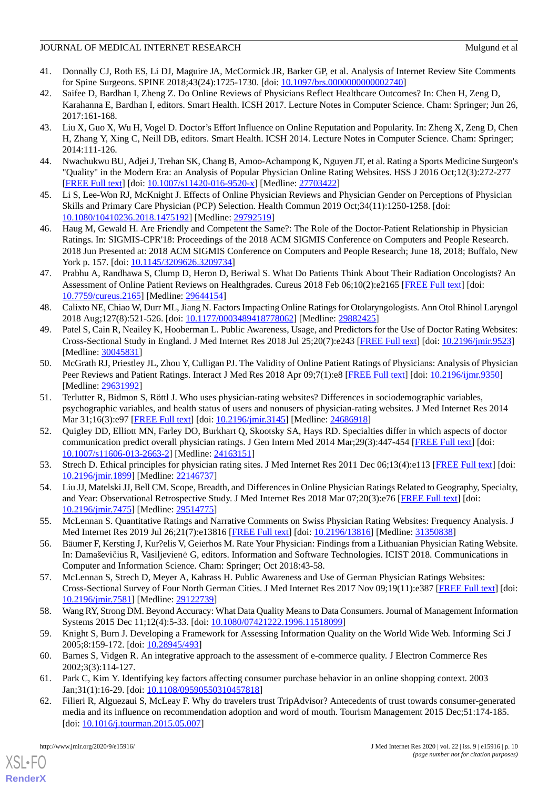#### JOURNAL OF MEDICAL INTERNET RESEARCH Mulgund et al.

- <span id="page-9-9"></span>41. Donnally CJ, Roth ES, Li DJ, Maguire JA, McCormick JR, Barker GP, et al. Analysis of Internet Review Site Comments for Spine Surgeons. SPINE 2018;43(24):1725-1730. [doi: [10.1097/brs.0000000000002740](http://dx.doi.org/10.1097/brs.0000000000002740)]
- 42. Saifee D, Bardhan I, Zheng Z. Do Online Reviews of Physicians Reflect Healthcare Outcomes? In: Chen H, Zeng D, Karahanna E, Bardhan I, editors. Smart Health. ICSH 2017. Lecture Notes in Computer Science. Cham: Springer; Jun 26, 2017:161-168.
- <span id="page-9-11"></span>43. Liu X, Guo X, Wu H, Vogel D. Doctor's Effort Influence on Online Reputation and Popularity. In: Zheng X, Zeng D, Chen H, Zhang Y, Xing C, Neill DB, editors. Smart Health. ICSH 2014. Lecture Notes in Computer Science. Cham: Springer; 2014:111-126.
- <span id="page-9-7"></span>44. Nwachukwu BU, Adjei J, Trehan SK, Chang B, Amoo-Achampong K, Nguyen JT, et al. Rating a Sports Medicine Surgeon's "Quality" in the Modern Era: an Analysis of Popular Physician Online Rating Websites. HSS J 2016 Oct;12(3):272-277 [[FREE Full text](http://europepmc.org/abstract/MED/27703422)] [doi: [10.1007/s11420-016-9520-x\]](http://dx.doi.org/10.1007/s11420-016-9520-x) [Medline: [27703422](http://www.ncbi.nlm.nih.gov/entrez/query.fcgi?cmd=Retrieve&db=PubMed&list_uids=27703422&dopt=Abstract)]
- <span id="page-9-10"></span>45. Li S, Lee-Won RJ, McKnight J. Effects of Online Physician Reviews and Physician Gender on Perceptions of Physician Skills and Primary Care Physician (PCP) Selection. Health Commun 2019 Oct;34(11):1250-1258. [doi: [10.1080/10410236.2018.1475192\]](http://dx.doi.org/10.1080/10410236.2018.1475192) [Medline: [29792519\]](http://www.ncbi.nlm.nih.gov/entrez/query.fcgi?cmd=Retrieve&db=PubMed&list_uids=29792519&dopt=Abstract)
- <span id="page-9-12"></span>46. Haug M, Gewald H. Are Friendly and Competent the Same?: The Role of the Doctor-Patient Relationship in Physician Ratings. In: SIGMIS-CPR'18: Proceedings of the 2018 ACM SIGMIS Conference on Computers and People Research. 2018 Jun Presented at: 2018 ACM SIGMIS Conference on Computers and People Research; June 18, 2018; Buffalo, New York p. 157. [doi: [10.1145/3209626.3209734\]](http://dx.doi.org/10.1145/3209626.3209734)
- <span id="page-9-8"></span>47. Prabhu A, Randhawa S, Clump D, Heron D, Beriwal S. What Do Patients Think About Their Radiation Oncologists? An Assessment of Online Patient Reviews on Healthgrades. Cureus 2018 Feb 06;10(2):e2165 [[FREE Full text](http://europepmc.org/abstract/MED/29644154)] [doi: [10.7759/cureus.2165](http://dx.doi.org/10.7759/cureus.2165)] [Medline: [29644154](http://www.ncbi.nlm.nih.gov/entrez/query.fcgi?cmd=Retrieve&db=PubMed&list_uids=29644154&dopt=Abstract)]
- <span id="page-9-18"></span>48. Calixto NE, Chiao W, Durr ML, Jiang N. Factors Impacting Online Ratings for Otolaryngologists. Ann Otol Rhinol Laryngol 2018 Aug;127(8):521-526. [doi: [10.1177/0003489418778062\]](http://dx.doi.org/10.1177/0003489418778062) [Medline: [29882425](http://www.ncbi.nlm.nih.gov/entrez/query.fcgi?cmd=Retrieve&db=PubMed&list_uids=29882425&dopt=Abstract)]
- 49. Patel S, Cain R, Neailey K, Hooberman L. Public Awareness, Usage, and Predictors for the Use of Doctor Rating Websites: Cross-Sectional Study in England. J Med Internet Res 2018 Jul 25;20(7):e243 [\[FREE Full text\]](https://www.jmir.org/2018/7/e243/) [doi: [10.2196/jmir.9523\]](http://dx.doi.org/10.2196/jmir.9523) [Medline: [30045831](http://www.ncbi.nlm.nih.gov/entrez/query.fcgi?cmd=Retrieve&db=PubMed&list_uids=30045831&dopt=Abstract)]
- <span id="page-9-6"></span>50. McGrath RJ, Priestley JL, Zhou Y, Culligan PJ. The Validity of Online Patient Ratings of Physicians: Analysis of Physician Peer Reviews and Patient Ratings. Interact J Med Res 2018 Apr 09;7(1):e8 [[FREE Full text](https://www.i-jmr.org/2018/1/e8/)] [doi: [10.2196/ijmr.9350](http://dx.doi.org/10.2196/ijmr.9350)] [Medline: [29631992](http://www.ncbi.nlm.nih.gov/entrez/query.fcgi?cmd=Retrieve&db=PubMed&list_uids=29631992&dopt=Abstract)]
- <span id="page-9-17"></span>51. Terlutter R, Bidmon S, Röttl J. Who uses physician-rating websites? Differences in sociodemographic variables, psychographic variables, and health status of users and nonusers of physician-rating websites. J Med Internet Res 2014 Mar 31;16(3):e97 [\[FREE Full text\]](https://www.jmir.org/2014/3/e97/) [doi: [10.2196/jmir.3145\]](http://dx.doi.org/10.2196/jmir.3145) [Medline: [24686918](http://www.ncbi.nlm.nih.gov/entrez/query.fcgi?cmd=Retrieve&db=PubMed&list_uids=24686918&dopt=Abstract)]
- <span id="page-9-14"></span><span id="page-9-13"></span>52. Quigley DD, Elliott MN, Farley DO, Burkhart Q, Skootsky SA, Hays RD. Specialties differ in which aspects of doctor communication predict overall physician ratings. J Gen Intern Med 2014 Mar;29(3):447-454 [[FREE Full text](http://europepmc.org/abstract/MED/24163151)] [doi: [10.1007/s11606-013-2663-2\]](http://dx.doi.org/10.1007/s11606-013-2663-2) [Medline: [24163151](http://www.ncbi.nlm.nih.gov/entrez/query.fcgi?cmd=Retrieve&db=PubMed&list_uids=24163151&dopt=Abstract)]
- <span id="page-9-15"></span>53. Strech D. Ethical principles for physician rating sites. J Med Internet Res 2011 Dec 06;13(4):e113 [\[FREE Full text](https://www.jmir.org/2011/4/e113/)] [doi: [10.2196/jmir.1899](http://dx.doi.org/10.2196/jmir.1899)] [Medline: [22146737](http://www.ncbi.nlm.nih.gov/entrez/query.fcgi?cmd=Retrieve&db=PubMed&list_uids=22146737&dopt=Abstract)]
- <span id="page-9-16"></span>54. Liu JJ, Matelski JJ, Bell CM. Scope, Breadth, and Differences in Online Physician Ratings Related to Geography, Specialty, and Year: Observational Retrospective Study. J Med Internet Res 2018 Mar 07;20(3):e76 [[FREE Full text](https://www.jmir.org/2018/3/e76/)] [doi: [10.2196/jmir.7475](http://dx.doi.org/10.2196/jmir.7475)] [Medline: [29514775](http://www.ncbi.nlm.nih.gov/entrez/query.fcgi?cmd=Retrieve&db=PubMed&list_uids=29514775&dopt=Abstract)]
- <span id="page-9-0"></span>55. McLennan S. Quantitative Ratings and Narrative Comments on Swiss Physician Rating Websites: Frequency Analysis. J Med Internet Res 2019 Jul 26;21(7):e13816 [[FREE Full text](https://www.jmir.org/2019/7/e13816/)] [doi: [10.2196/13816\]](http://dx.doi.org/10.2196/13816) [Medline: [31350838](http://www.ncbi.nlm.nih.gov/entrez/query.fcgi?cmd=Retrieve&db=PubMed&list_uids=31350838&dopt=Abstract)]
- <span id="page-9-1"></span>56. Bäumer F, Kersting J, Kur?elis V, Geierhos M. Rate Your Physician: Findings from a Lithuanian Physician Rating Website. In: Damaševičius R, Vasiljevienė G, editors. Information and Software Technologies. ICIST 2018. Communications in Computer and Information Science. Cham: Springer; Oct 2018:43-58.
- <span id="page-9-3"></span><span id="page-9-2"></span>57. McLennan S, Strech D, Meyer A, Kahrass H. Public Awareness and Use of German Physician Ratings Websites: Cross-Sectional Survey of Four North German Cities. J Med Internet Res 2017 Nov 09;19(11):e387 [\[FREE Full text](https://www.jmir.org/2017/11/e387/)] [doi: [10.2196/jmir.7581](http://dx.doi.org/10.2196/jmir.7581)] [Medline: [29122739](http://www.ncbi.nlm.nih.gov/entrez/query.fcgi?cmd=Retrieve&db=PubMed&list_uids=29122739&dopt=Abstract)]
- <span id="page-9-4"></span>58. Wang RY, Strong DM. Beyond Accuracy: What Data Quality Means to Data Consumers. Journal of Management Information Systems 2015 Dec 11;12(4):5-33. [doi: [10.1080/07421222.1996.11518099\]](http://dx.doi.org/10.1080/07421222.1996.11518099)
- <span id="page-9-5"></span>59. Knight S, Burn J. Developing a Framework for Assessing Information Quality on the World Wide Web. Informing Sci J 2005;8:159-172. [doi: [10.28945/493](http://dx.doi.org/10.28945/493)]
- 60. Barnes S, Vidgen R. An integrative approach to the assessment of e-commerce quality. J Electron Commerce Res 2002;3(3):114-127.
- 61. Park C, Kim Y. Identifying key factors affecting consumer purchase behavior in an online shopping context. 2003 Jan;31(1):16-29. [doi: [10.1108/09590550310457818](http://dx.doi.org/10.1108/09590550310457818)]
- 62. Filieri R, Alguezaui S, McLeay F. Why do travelers trust TripAdvisor? Antecedents of trust towards consumer-generated media and its influence on recommendation adoption and word of mouth. Tourism Management 2015 Dec;51:174-185. [doi: [10.1016/j.tourman.2015.05.007](http://dx.doi.org/10.1016/j.tourman.2015.05.007)]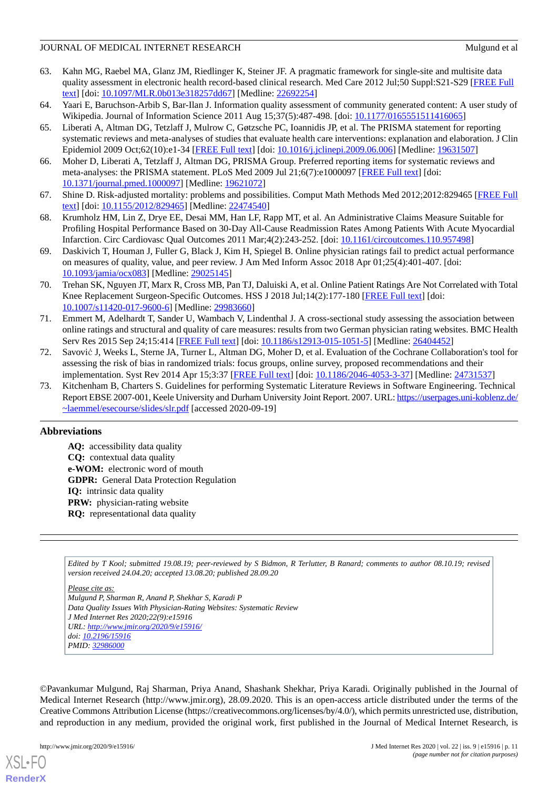#### JOURNAL OF MEDICAL INTERNET RESEARCH Mulgund et al.

- <span id="page-10-0"></span>63. Kahn MG, Raebel MA, Glanz JM, Riedlinger K, Steiner JF. A pragmatic framework for single-site and multisite data quality assessment in electronic health record-based clinical research. Med Care 2012 Jul;50 Suppl:S21-S29 [\[FREE Full](http://europepmc.org/abstract/MED/22692254) [text](http://europepmc.org/abstract/MED/22692254)] [doi: [10.1097/MLR.0b013e318257dd67\]](http://dx.doi.org/10.1097/MLR.0b013e318257dd67) [Medline: [22692254](http://www.ncbi.nlm.nih.gov/entrez/query.fcgi?cmd=Retrieve&db=PubMed&list_uids=22692254&dopt=Abstract)]
- <span id="page-10-2"></span><span id="page-10-1"></span>64. Yaari E, Baruchson-Arbib S, Bar-Ilan J. Information quality assessment of community generated content: A user study of Wikipedia. Journal of Information Science 2011 Aug 15;37(5):487-498. [doi: [10.1177/0165551511416065\]](http://dx.doi.org/10.1177/0165551511416065)
- 65. Liberati A, Altman DG, Tetzlaff J, Mulrow C, Gøtzsche PC, Ioannidis JP, et al. The PRISMA statement for reporting systematic reviews and meta-analyses of studies that evaluate health care interventions: explanation and elaboration. J Clin Epidemiol 2009 Oct;62(10):e1-34 [\[FREE Full text\]](https://linkinghub.elsevier.com/retrieve/pii/S0895-4356(09)00180-2) [doi: [10.1016/j.jclinepi.2009.06.006](http://dx.doi.org/10.1016/j.jclinepi.2009.06.006)] [Medline: [19631507\]](http://www.ncbi.nlm.nih.gov/entrez/query.fcgi?cmd=Retrieve&db=PubMed&list_uids=19631507&dopt=Abstract)
- <span id="page-10-4"></span><span id="page-10-3"></span>66. Moher D, Liberati A, Tetzlaff J, Altman DG, PRISMA Group. Preferred reporting items for systematic reviews and meta-analyses: the PRISMA statement. PLoS Med 2009 Jul 21;6(7):e1000097 [[FREE Full text](https://dx.plos.org/10.1371/journal.pmed.1000097)] [doi: [10.1371/journal.pmed.1000097](http://dx.doi.org/10.1371/journal.pmed.1000097)] [Medline: [19621072](http://www.ncbi.nlm.nih.gov/entrez/query.fcgi?cmd=Retrieve&db=PubMed&list_uids=19621072&dopt=Abstract)]
- <span id="page-10-5"></span>67. Shine D. Risk-adjusted mortality: problems and possibilities. Comput Math Methods Med 2012;2012:829465 [[FREE Full](https://doi.org/10.1155/2012/829465) [text](https://doi.org/10.1155/2012/829465)] [doi: [10.1155/2012/829465\]](http://dx.doi.org/10.1155/2012/829465) [Medline: [22474540](http://www.ncbi.nlm.nih.gov/entrez/query.fcgi?cmd=Retrieve&db=PubMed&list_uids=22474540&dopt=Abstract)]
- <span id="page-10-6"></span>68. Krumholz HM, Lin Z, Drye EE, Desai MM, Han LF, Rapp MT, et al. An Administrative Claims Measure Suitable for Profiling Hospital Performance Based on 30-Day All-Cause Readmission Rates Among Patients With Acute Myocardial Infarction. Circ Cardiovasc Qual Outcomes 2011 Mar;4(2):243-252. [doi: [10.1161/circoutcomes.110.957498](http://dx.doi.org/10.1161/circoutcomes.110.957498)]
- <span id="page-10-7"></span>69. Daskivich T, Houman J, Fuller G, Black J, Kim H, Spiegel B. Online physician ratings fail to predict actual performance on measures of quality, value, and peer review. J Am Med Inform Assoc 2018 Apr 01;25(4):401-407. [doi: [10.1093/jamia/ocx083](http://dx.doi.org/10.1093/jamia/ocx083)] [Medline: [29025145](http://www.ncbi.nlm.nih.gov/entrez/query.fcgi?cmd=Retrieve&db=PubMed&list_uids=29025145&dopt=Abstract)]
- <span id="page-10-8"></span>70. Trehan SK, Nguyen JT, Marx R, Cross MB, Pan TJ, Daluiski A, et al. Online Patient Ratings Are Not Correlated with Total Knee Replacement Surgeon-Specific Outcomes. HSS J 2018 Jul;14(2):177-180 [[FREE Full text](http://europepmc.org/abstract/MED/29983660)] [doi: [10.1007/s11420-017-9600-6\]](http://dx.doi.org/10.1007/s11420-017-9600-6) [Medline: [29983660](http://www.ncbi.nlm.nih.gov/entrez/query.fcgi?cmd=Retrieve&db=PubMed&list_uids=29983660&dopt=Abstract)]
- <span id="page-10-9"></span>71. Emmert M, Adelhardt T, Sander U, Wambach V, Lindenthal J. A cross-sectional study assessing the association between online ratings and structural and quality of care measures: results from two German physician rating websites. BMC Health Serv Res 2015 Sep 24;15:414 [\[FREE Full text\]](https://bmchealthservres.biomedcentral.com/articles/10.1186/s12913-015-1051-5) [doi: [10.1186/s12913-015-1051-5](http://dx.doi.org/10.1186/s12913-015-1051-5)] [Medline: [26404452\]](http://www.ncbi.nlm.nih.gov/entrez/query.fcgi?cmd=Retrieve&db=PubMed&list_uids=26404452&dopt=Abstract)
- <span id="page-10-10"></span>72. Savović J, Weeks L, Sterne JA, Turner L, Altman DG, Moher D, et al. Evaluation of the Cochrane Collaboration's tool for assessing the risk of bias in randomized trials: focus groups, online survey, proposed recommendations and their implementation. Syst Rev 2014 Apr 15;3:37 [\[FREE Full text\]](https://systematicreviewsjournal.biomedcentral.com/articles/10.1186/2046-4053-3-37) [doi: [10.1186/2046-4053-3-37](http://dx.doi.org/10.1186/2046-4053-3-37)] [Medline: [24731537](http://www.ncbi.nlm.nih.gov/entrez/query.fcgi?cmd=Retrieve&db=PubMed&list_uids=24731537&dopt=Abstract)]
- 73. Kitchenham B, Charters S. Guidelines for performing Systematic Literature Reviews in Software Engineering. Technical Report EBSE 2007-001, Keele University and Durham University Joint Report. 2007. URL: [https://userpages.uni-koblenz.de/](https://userpages.uni-koblenz.de/~laemmel/esecourse/slides/slr.pdf) [~laemmel/esecourse/slides/slr.pdf](https://userpages.uni-koblenz.de/~laemmel/esecourse/slides/slr.pdf) [accessed 2020-09-19]

## **Abbreviations**

**AQ:** accessibility data quality **CQ:** contextual data quality **e-WOM:** electronic word of mouth **GDPR:** General Data Protection Regulation **IQ:** intrinsic data quality **PRW:** physician-rating website **RQ:** representational data quality

*Edited by T Kool; submitted 19.08.19; peer-reviewed by S Bidmon, R Terlutter, B Ranard; comments to author 08.10.19; revised version received 24.04.20; accepted 13.08.20; published 28.09.20*

*Please cite as: Mulgund P, Sharman R, Anand P, Shekhar S, Karadi P Data Quality Issues With Physician-Rating Websites: Systematic Review J Med Internet Res 2020;22(9):e15916 URL: <http://www.jmir.org/2020/9/e15916/> doi: [10.2196/15916](http://dx.doi.org/10.2196/15916) PMID: [32986000](http://www.ncbi.nlm.nih.gov/entrez/query.fcgi?cmd=Retrieve&db=PubMed&list_uids=32986000&dopt=Abstract)*

©Pavankumar Mulgund, Raj Sharman, Priya Anand, Shashank Shekhar, Priya Karadi. Originally published in the Journal of Medical Internet Research (http://www.jmir.org), 28.09.2020. This is an open-access article distributed under the terms of the Creative Commons Attribution License (https://creativecommons.org/licenses/by/4.0/), which permits unrestricted use, distribution, and reproduction in any medium, provided the original work, first published in the Journal of Medical Internet Research, is